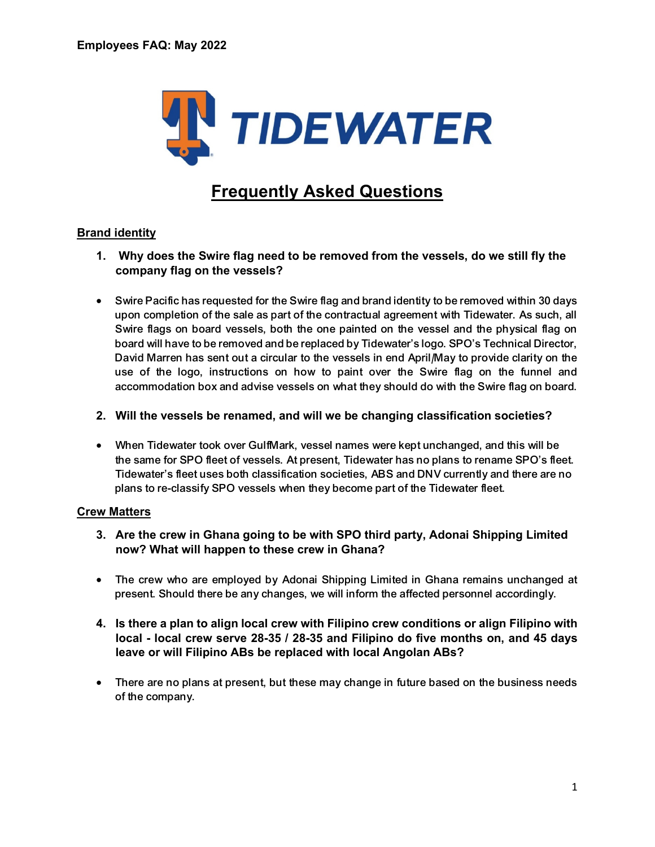

# **Frequently Asked Questions**

# **Brand identity**

- **1. Why does the Swire flag need to be removed from the vessels, do we still fly the company flag on the vessels?**
- Swire Pacific has requested for the Swire flag and brand identity to be removed within 30 days upon completion of the sale as part of the contractual agreement with Tidewater. As such, all Swire flags on board vessels, both the one painted on the vessel and the physical flag on board will have to be removed and be replaced by Tidewater's logo. SPO's Technical Director, David Marren has sent out a circular to the vessels in end April/May to provide clarity on the use of the logo, instructions on how to paint over the Swire flag on the funnel and accommodation box and advise vessels on what they should do with the Swire flag on board.
- **2. Will the vessels be renamed, and will we be changing classification societies?**
- When Tidewater took over GulfMark, vessel names were kept unchanged, and this will be the same for SPO fleet of vessels. At present, Tidewater has no plans to rename SPO's fleet. Tidewater's fleet uses both classification societies, ABS and DNV currently and there are no plans to re-classify SPO vessels when they become part of the Tidewater fleet.

#### **Crew Matters**

- **3. Are the crew in Ghana going to be with SPO third party, Adonai Shipping Limited now? What will happen to these crew in Ghana?**
- The crew who are employed by Adonai Shipping Limited in Ghana remains unchanged at present. Should there be any changes, we will inform the affected personnel accordingly.
- **4. Is there a plan to align local crew with Filipino crew conditions or align Filipino with local - local crew serve 28-35 / 28-35 and Filipino do five months on, and 45 days leave or will Filipino ABs be replaced with local Angolan ABs?**
- There are no plans at present, but these may change in future based on the business needs of the company.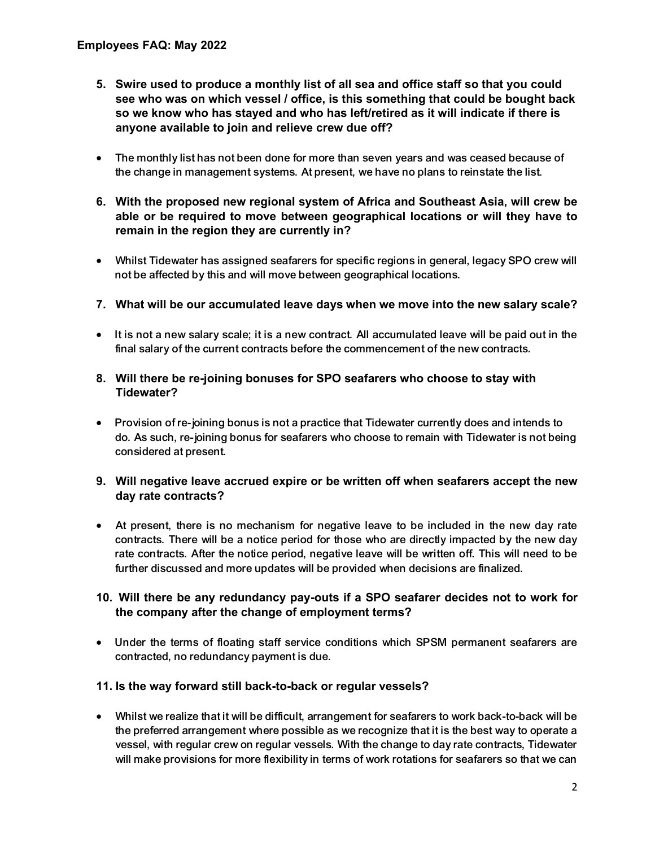- **5. Swire used to produce a monthly list of all sea and office staff so that you could see who was on which vessel / office, is this something that could be bought back so we know who has stayed and who has left/retired as it will indicate if there is anyone available to join and relieve crew due off?**
- The monthly list has not been done for more than seven years and was ceased because of the change in management systems. At present, we have no plans to reinstate the list.
- **6. With the proposed new regional system of Africa and Southeast Asia, will crew be able or be required to move between geographical locations or will they have to remain in the region they are currently in?**
- Whilst Tidewater has assigned seafarers for specific regions in general, legacy SPO crew will not be affected by this and will move between geographical locations.
- **7. What will be our accumulated leave days when we move into the new salary scale?**
- It is not a new salary scale; it is a new contract. All accumulated leave will be paid out in the final salary of the current contracts before the commencement of the new contracts.
- **8. Will there be re-joining bonuses for SPO seafarers who choose to stay with Tidewater?**
- Provision of re-joining bonus is not a practice that Tidewater currently does and intends to do. As such, re-joining bonus for seafarers who choose to remain with Tidewater is not being considered at present.
- **9. Will negative leave accrued expire or be written off when seafarers accept the new day rate contracts?**
- At present, there is no mechanism for negative leave to be included in the new day rate contracts. There will be a notice period for those who are directly impacted by the new day rate contracts. After the notice period, negative leave will be written off. This will need to be further discussed and more updates will be provided when decisions are finalized.

#### **10. Will there be any redundancy pay-outs if a SPO seafarer decides not to work for the company after the change of employment terms?**

 Under the terms of floating staff service conditions which SPSM permanent seafarers are contracted, no redundancy payment is due.

#### **11. Is the way forward still back-to-back or regular vessels?**

 Whilst we realize that it will be difficult, arrangement for seafarers to work back-to-back will be the preferred arrangement where possible as we recognize that it is the best way to operate a vessel, with regular crew on regular vessels. With the change to day rate contracts, Tidewater will make provisions for more flexibility in terms of work rotations for seafarers so that we can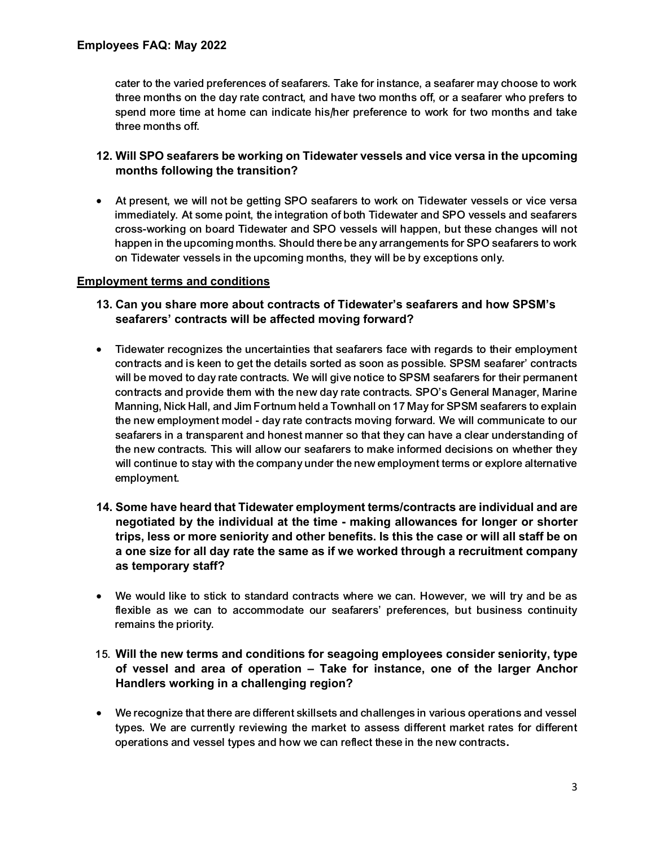cater to the varied preferences of seafarers. Take for instance, a seafarer may choose to work three months on the day rate contract, and have two months off, or a seafarer who prefers to spend more time at home can indicate his/her preference to work for two months and take three months off.

## **12. Will SPO seafarers be working on Tidewater vessels and vice versa in the upcoming months following the transition?**

 At present, we will not be getting SPO seafarers to work on Tidewater vessels or vice versa immediately. At some point, the integration of both Tidewater and SPO vessels and seafarers cross-working on board Tidewater and SPO vessels will happen, but these changes will not happen in the upcoming months. Should there be any arrangements for SPO seafarers to work on Tidewater vessels in the upcoming months, they will be by exceptions only.

#### **Employment terms and conditions**

- **13. Can you share more about contracts of Tidewater's seafarers and how SPSM's seafarers' contracts will be affected moving forward?**
- Tidewater recognizes the uncertainties that seafarers face with regards to their employment contracts and is keen to get the details sorted as soon as possible. SPSM seafarer' contracts will be moved to day rate contracts. We will give notice to SPSM seafarers for their permanent contracts and provide them with the new day rate contracts. SPO's General Manager, Marine Manning, Nick Hall, and Jim Fortnum held a Townhall on 17 May for SPSM seafarers to explain the new employment model - day rate contracts moving forward. We will communicate to our seafarers in a transparent and honest manner so that they can have a clear understanding of the new contracts. This will allow our seafarers to make informed decisions on whether they will continue to stay with the company under the new employment terms or explore alternative employment.
- **14. Some have heard that Tidewater employment terms/contracts are individual and are negotiated by the individual at the time - making allowances for longer or shorter trips, less or more seniority and other benefits. Is this the case or will all staff be on a one size for all day rate the same as if we worked through a recruitment company as temporary staff?**
- We would like to stick to standard contracts where we can. However, we will try and be as flexible as we can to accommodate our seafarers' preferences, but business continuity remains the priority.
- 15. **Will the new terms and conditions for seagoing employees consider seniority, type of vessel and area of operation – Take for instance, one of the larger Anchor Handlers working in a challenging region?**
- We recognize that there are different skillsets and challenges in various operations and vessel types. We are currently reviewing the market to assess different market rates for different operations and vessel types and how we can reflect these in the new contracts**.**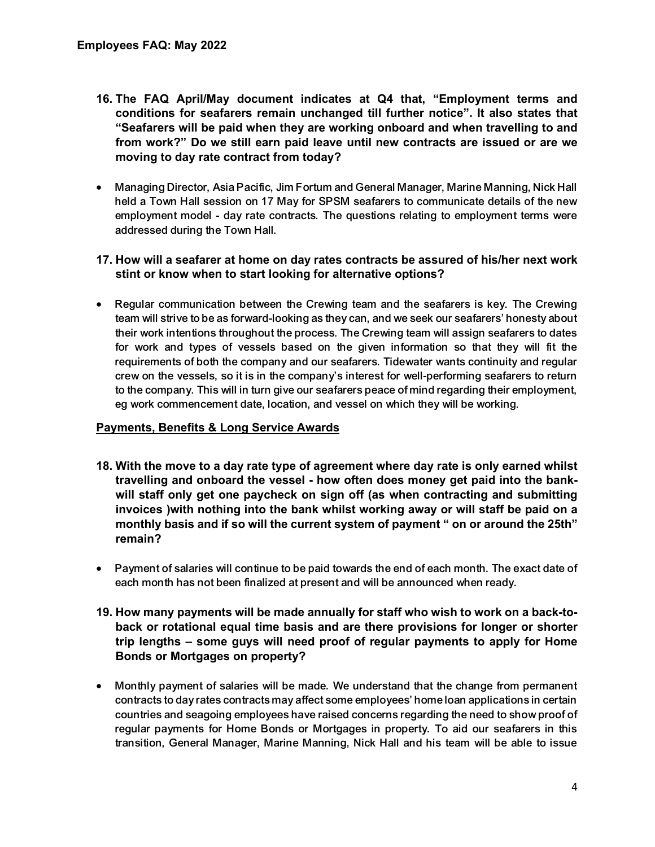- **16. The FAQ April/May document indicates at Q4 that, "Employment terms and conditions for seafarers remain unchanged till further notice". It also states that "Seafarers will be paid when they are working onboard and when travelling to and from work?" Do we still earn paid leave until new contracts are issued or are we moving to day rate contract from today?**
- Managing Director, Asia Pacific, Jim Fortum and General Manager, Marine Manning, Nick Hall held a Town Hall session on 17 May for SPSM seafarers to communicate details of the new employment model - day rate contracts. The questions relating to employment terms were addressed during the Town Hall.
- **17. How will a seafarer at home on day rates contracts be assured of his/her next work stint or know when to start looking for alternative options?**
- Regular communication between the Crewing team and the seafarers is key. The Crewing team will strive to be as forward-looking as they can, and we seek our seafarers' honesty about their work intentions throughout the process. The Crewing team will assign seafarers to dates for work and types of vessels based on the given information so that they will fit the requirements of both the company and our seafarers. Tidewater wants continuity and regular crew on the vessels, so it is in the company's interest for well-performing seafarers to return to the company. This will in turn give our seafarers peace of mind regarding their employment, eg work commencement date, location, and vessel on which they will be working.

#### **Payments, Benefits & Long Service Awards**

- **18. With the move to a day rate type of agreement where day rate is only earned whilst travelling and onboard the vessel - how often does money get paid into the bankwill staff only get one paycheck on sign off (as when contracting and submitting invoices )with nothing into the bank whilst working away or will staff be paid on a monthly basis and if so will the current system of payment " on or around the 25th" remain?**
- Payment of salaries will continue to be paid towards the end of each month. The exact date of each month has not been finalized at present and will be announced when ready.
- **19. How many payments will be made annually for staff who wish to work on a back-toback or rotational equal time basis and are there provisions for longer or shorter trip lengths – some guys will need proof of regular payments to apply for Home Bonds or Mortgages on property?**
- Monthly payment of salaries will be made. We understand that the change from permanent contracts to day rates contracts may affect some employees' home loan applications in certain countries and seagoing employees have raised concerns regarding the need to show proof of regular payments for Home Bonds or Mortgages in property. To aid our seafarers in this transition, General Manager, Marine Manning, Nick Hall and his team will be able to issue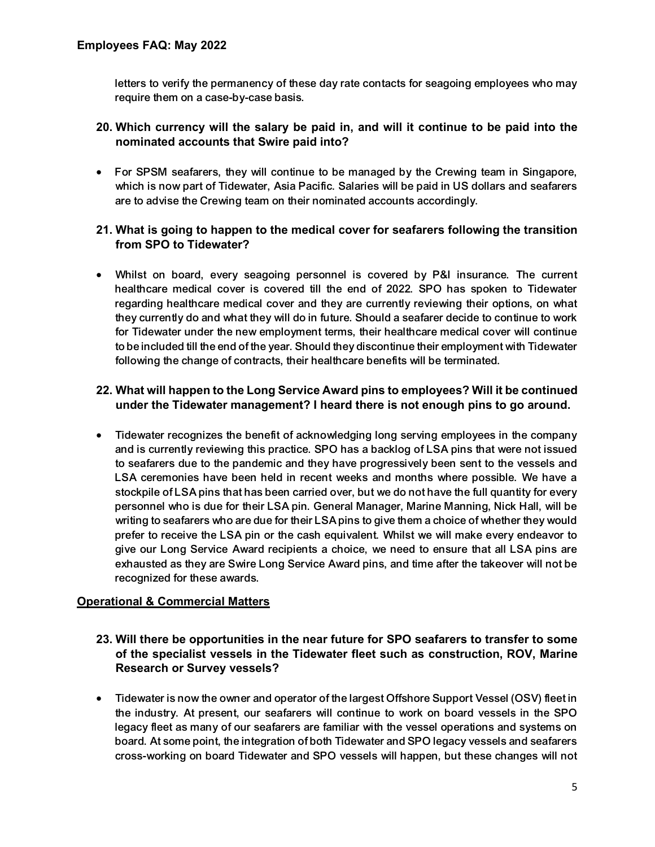letters to verify the permanency of these day rate contacts for seagoing employees who may require them on a case-by-case basis.

## **20. Which currency will the salary be paid in, and will it continue to be paid into the nominated accounts that Swire paid into?**

 For SPSM seafarers, they will continue to be managed by the Crewing team in Singapore, which is now part of Tidewater, Asia Pacific. Salaries will be paid in US dollars and seafarers are to advise the Crewing team on their nominated accounts accordingly.

## **21. What is going to happen to the medical cover for seafarers following the transition from SPO to Tidewater?**

 Whilst on board, every seagoing personnel is covered by P&I insurance. The current healthcare medical cover is covered till the end of 2022. SPO has spoken to Tidewater regarding healthcare medical cover and they are currently reviewing their options, on what they currently do and what they will do in future. Should a seafarer decide to continue to work for Tidewater under the new employment terms, their healthcare medical cover will continue to be included till the end of the year. Should they discontinue their employment with Tidewater following the change of contracts, their healthcare benefits will be terminated.

# **22. What will happen to the Long Service Award pins to employees? Will it be continued under the Tidewater management? I heard there is not enough pins to go around.**

 Tidewater recognizes the benefit of acknowledging long serving employees in the company and is currently reviewing this practice. SPO has a backlog of LSA pins that were not issued to seafarers due to the pandemic and they have progressively been sent to the vessels and LSA ceremonies have been held in recent weeks and months where possible. We have a stockpile of LSA pins that has been carried over, but we do not have the full quantity for every personnel who is due for their LSA pin. General Manager, Marine Manning, Nick Hall, will be writing to seafarers who are due for their LSA pins to give them a choice of whether they would prefer to receive the LSA pin or the cash equivalent. Whilst we will make every endeavor to give our Long Service Award recipients a choice, we need to ensure that all LSA pins are exhausted as they are Swire Long Service Award pins, and time after the takeover will not be recognized for these awards.

#### **Operational & Commercial Matters**

- **23. Will there be opportunities in the near future for SPO seafarers to transfer to some of the specialist vessels in the Tidewater fleet such as construction, ROV, Marine Research or Survey vessels?**
- Tidewater is now the owner and operator of the largest Offshore Support Vessel (OSV) fleet in the industry. At present, our seafarers will continue to work on board vessels in the SPO legacy fleet as many of our seafarers are familiar with the vessel operations and systems on board. At some point, the integration of both Tidewater and SPO legacy vessels and seafarers cross-working on board Tidewater and SPO vessels will happen, but these changes will not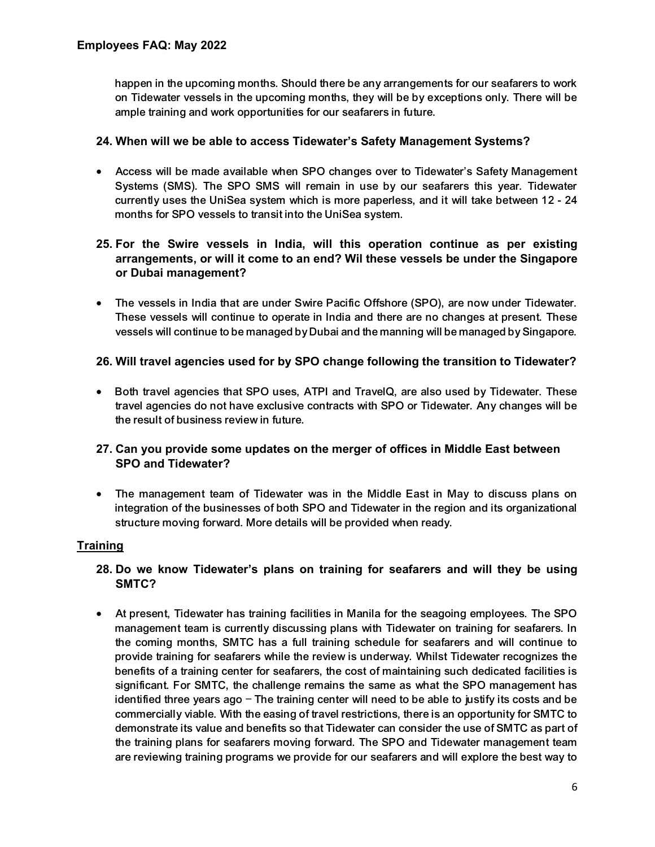happen in the upcoming months. Should there be any arrangements for our seafarers to work on Tidewater vessels in the upcoming months, they will be by exceptions only. There will be ample training and work opportunities for our seafarers in future.

#### **24. When will we be able to access Tidewater's Safety Management Systems?**

 Access will be made available when SPO changes over to Tidewater's Safety Management Systems (SMS). The SPO SMS will remain in use by our seafarers this year. Tidewater currently uses the UniSea system which is more paperless, and it will take between 12 - 24 months for SPO vessels to transit into the UniSea system.

## **25. For the Swire vessels in India, will this operation continue as per existing arrangements, or will it come to an end? Wil these vessels be under the Singapore or Dubai management?**

 The vessels in India that are under Swire Pacific Offshore (SPO), are now under Tidewater. These vessels will continue to operate in India and there are no changes at present. These vessels will continue to be managed by Dubai and the manning will be managed by Singapore.

#### **26. Will travel agencies used for by SPO change following the transition to Tidewater?**

• Both travel agencies that SPO uses, ATPI and TravelQ, are also used by Tidewater. These travel agencies do not have exclusive contracts with SPO or Tidewater. Any changes will be the result of business review in future.

#### **27. Can you provide some updates on the merger of offices in Middle East between SPO and Tidewater?**

 The management team of Tidewater was in the Middle East in May to discuss plans on integration of the businesses of both SPO and Tidewater in the region and its organizational structure moving forward. More details will be provided when ready.

#### **Training**

#### **28. Do we know Tidewater's plans on training for seafarers and will they be using SMTC?**

 At present, Tidewater has training facilities in Manila for the seagoing employees. The SPO management team is currently discussing plans with Tidewater on training for seafarers. In the coming months, SMTC has a full training schedule for seafarers and will continue to provide training for seafarers while the review is underway. Whilst Tidewater recognizes the benefits of a training center for seafarers, the cost of maintaining such dedicated facilities is significant. For SMTC, the challenge remains the same as what the SPO management has identified three years ago – The training center will need to be able to justify its costs and be commercially viable. With the easing of travel restrictions, there is an opportunity for SMTC to demonstrate its value and benefits so that Tidewater can consider the use of SMTC as part of the training plans for seafarers moving forward. The SPO and Tidewater management team are reviewing training programs we provide for our seafarers and will explore the best way to